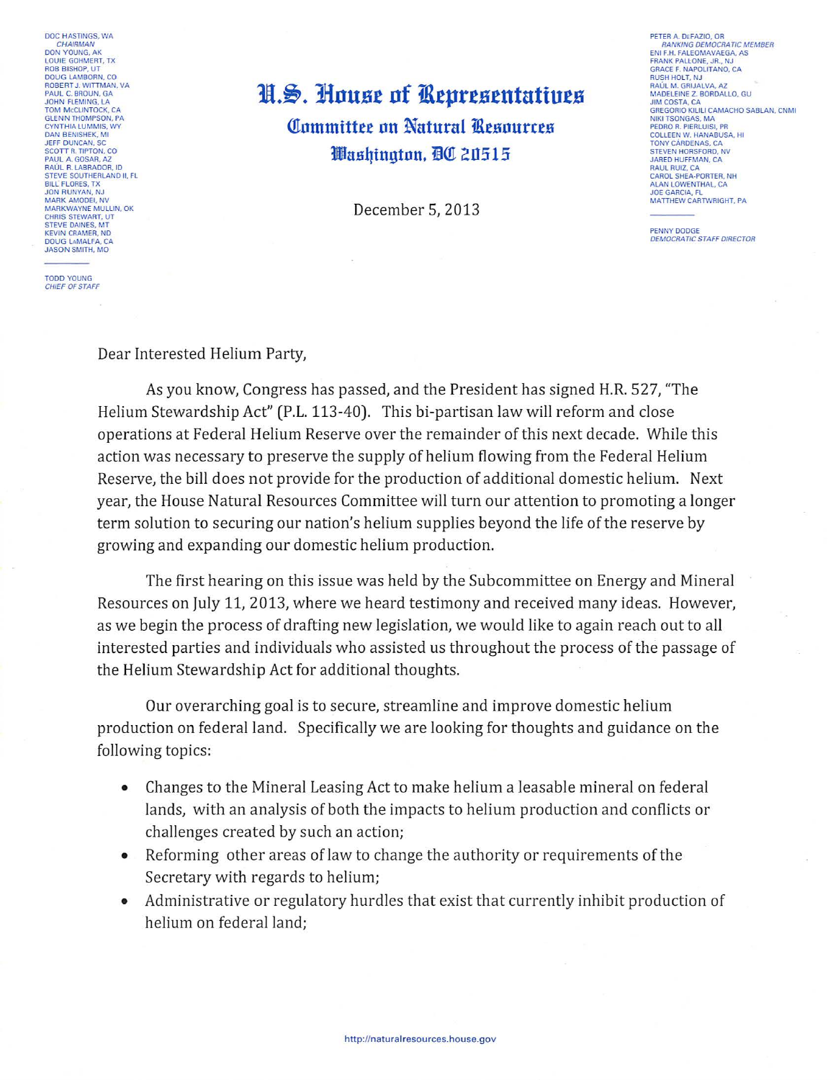DOC HASTINGS WA **CHAIRMAN**<br>DON YOUNG, AK LOUIE GOHMERT, TX<br>ROB BISHOP, UT<br>DOUG LAMBORN, CO **ROBERT J. WITTMAN, VA** PAUL C. BROUN, GA JOHN FLEMING, LA TOM MCCLINTOCK, CA GLENN THOMPSON PA CYNTHIA LUMMIS, WY **JEFF DUNCAN, SC** SEPT DUNCAN, SC<br>SCOTT R. TIPTON, CO<br>PAUL A. GOSAR, AZ<br>RAÚL R. LABRADOR, ID STEVE SOUTHERLAND IL FL BILL FLORES, TX<br>JON RUNYAN, NJ MARK AMODEL NV MARK AMODEI, IVE<br>CHRIS STEWART, UT<br>STEVE DAINES, MT **KEVIN CRAMER, ND** DOUG LAMALFA, CA

## H.S. House of Representatives **Committee on Natural Resources** Washington, DC 20515

December 5, 2013

PETER A. DEFAZIO, OR<br>FAANKING DEMOCRATIC MEMBER<br>ENI F.H. FALEOMAVAEGA, AS ENTER PALEOMAVAEGA, A<br>FRANK PALLONE, JR., NJ<br>GRACE F. NAPOLITANO, CA<br>RUSH HOLT, NJ **BAULM GRUALVA AZ** MADELEINE Z. BORDALLO, GU GREGORIO KILILI CAMACHO SARI AN CNML NIKI TSONGAS, MA<br>PEDRO R. PIERLUISI, PR<br>COLLEEN W. HANABUSA, HI TONY CÁRDENAS CA STEVEN HORSFORD, NV **RAUL RUIZ, CA** CAROL SHEA-PORTER. NH ALAN LOWENTHAL, CA **JOE GARCIA, FL** MATTHEW CARTWRIGHT, PA

PENNY DODGE DEMOCRATIC STAFF DIRECTOR

**TODD YOUNG** CHIEF OF STAFF

Dear Interested Helium Party,

As you know, Congress has passed, and the President has signed H.R. 527, "The Helium Stewardship Act" (P.L. 113-40). This bi-partisan law will reform and close operations at Federal Helium Reserve over the remainder of this next decade. While this action was necessary to preserve the supply of helium flowing from the Federal Helium Reserve, the bill does not provide for the production of additional domestic helium. Next year, the House Natural Resources Committee will turn our attention to promoting a longer term solution to securing our nation's helium supplies beyond the life of the reserve by growing and expanding our domestic helium production.

The first hearing on this issue was held by the Subcommittee on Energy and Mineral Resources on July 11, 2013, where we heard testimony and received many ideas. However, as we begin the process of drafting new legislation, we would like to again reach out to all interested parties and individuals who assisted us throughout the process of the passage of the Helium Stewardship Act for additional thoughts.

Our overarching goal is to secure, streamline and improve domestic helium production on federal land. Specifically we are looking for thoughts and guidance on the following topics:

- Changes to the Mineral Leasing Act to make helium a leasable mineral on federal  $\bullet$ lands, with an analysis of both the impacts to helium production and conflicts or challenges created by such an action;
- Reforming other areas of law to change the authority or requirements of the Secretary with regards to helium;
- Administrative or regulatory hurdles that exist that currently inhibit production of helium on federal land;